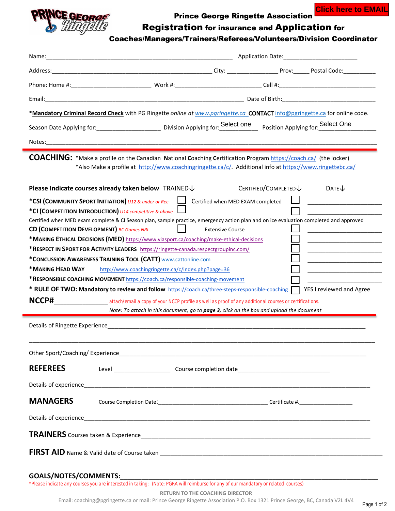

Prince George Ringette Association

**Click here to EMAIL**

## Registration for insurance and Application for

## Coaches/Managers/Trainers/Referees/Volunteers/Division Coordinator

|                                                                                                                       | *Mandatory Criminal Record Check with PG Ringette online at www.paringette.ca_CONTACT info@pgringette.ca for online code.                                                                                                                                                                   |                                   |                      |                          |  |
|-----------------------------------------------------------------------------------------------------------------------|---------------------------------------------------------------------------------------------------------------------------------------------------------------------------------------------------------------------------------------------------------------------------------------------|-----------------------------------|----------------------|--------------------------|--|
|                                                                                                                       | Season Date Applying for: _____________________________ Division Applying for: Select one Position Applying for: Select One                                                                                                                                                                 |                                   |                      |                          |  |
| Notes:                                                                                                                |                                                                                                                                                                                                                                                                                             |                                   |                      |                          |  |
|                                                                                                                       | <b>COACHING:</b> *Make a profile on the Canadian National Coaching Certification Program https://coach.ca/ (the locker)<br>*Also Make a profile at http://www.coachingringette.ca/c/. Additional info at https://www.ringettebc.ca/<br>Please Indicate courses already taken below TRAINED↓ |                                   | CERTIFIED/COMPLETED↓ |                          |  |
|                                                                                                                       |                                                                                                                                                                                                                                                                                             | Certified when MED EXAM completed |                      | DATE $\downarrow$        |  |
|                                                                                                                       | *CSI (COMMUNITY SPORT INITIATION) U12 & under or Rec<br>*CI (COMPETITION INTRODUCTION) U14 competitive & above                                                                                                                                                                              |                                   |                      |                          |  |
|                                                                                                                       | Certified when MED exam complete & CI Season plan, sample practice, emergency action plan and on ice evaluation completed and approved                                                                                                                                                      |                                   |                      |                          |  |
| CD (COMPETITION DEVELOPMENT) BC Games NRL                                                                             |                                                                                                                                                                                                                                                                                             | <b>Extensive Course</b>           |                      |                          |  |
|                                                                                                                       | *MAKING ETHICAL DECISIONS (MED) https://www.viasport.ca/coaching/make-ethical-decisions                                                                                                                                                                                                     |                                   |                      |                          |  |
|                                                                                                                       | *RESPECT IN SPORT FOR ACTIVITY LEADERS https://ringette-canada.respectgroupinc.com/                                                                                                                                                                                                         |                                   |                      |                          |  |
|                                                                                                                       | *CONCUSSION AWARENESS TRAINING TOOL (CATT) www.cattonline.com                                                                                                                                                                                                                               |                                   |                      |                          |  |
| *MAKING HEAD WAY                                                                                                      | http://www.coachingringette.ca/c/index.php?page=36                                                                                                                                                                                                                                          |                                   |                      |                          |  |
|                                                                                                                       | *RESPONSIBLE COACHING MOVEMENT https://coach.ca/responsible-coaching-movement<br>* RULE OF TWO: Mandatory to review and follow $\frac{https://coach.ca/three-steps-responsible-coaching}{https://coach.org/bres.}$                                                                          |                                   |                      | YES I reviewed and Agree |  |
|                                                                                                                       | NCCP# attach/email a copy of your NCCP profile as well as proof of any additional courses or certifications.                                                                                                                                                                                |                                   |                      |                          |  |
|                                                                                                                       | Note: To attach in this document, go to page 3, click on the box and upload the document                                                                                                                                                                                                    |                                   |                      |                          |  |
| Details of Ringette Experience <b>Example 20</b> No. 2014 12:30 No. 2014 12:30 No. 2014 12:30 No. 2014 12:30 No. 2014 |                                                                                                                                                                                                                                                                                             |                                   |                      |                          |  |
|                                                                                                                       |                                                                                                                                                                                                                                                                                             |                                   |                      |                          |  |
| <b>REFEREES</b>                                                                                                       |                                                                                                                                                                                                                                                                                             |                                   |                      |                          |  |
|                                                                                                                       |                                                                                                                                                                                                                                                                                             |                                   |                      |                          |  |
| <b>MANAGERS</b>                                                                                                       |                                                                                                                                                                                                                                                                                             |                                   |                      |                          |  |
|                                                                                                                       |                                                                                                                                                                                                                                                                                             |                                   |                      |                          |  |
|                                                                                                                       |                                                                                                                                                                                                                                                                                             |                                   |                      |                          |  |
|                                                                                                                       |                                                                                                                                                                                                                                                                                             |                                   |                      |                          |  |

## GOALS/NOTES/COMMENTS:

*\*Please indicate any courses you are interested in taking: (Note: PGRA will reimburse for any of our mandatory or related courses)*

**RETURN TO THE COACHING DIRECTOR**

Page 1 of 2 Email[: coaching@pgringette.ca](mailto:coaching@pgringette.ca) or mail: Prince George Ringette Association P.O. Box 1321 Prince George, BC, Canada V2L 4V4